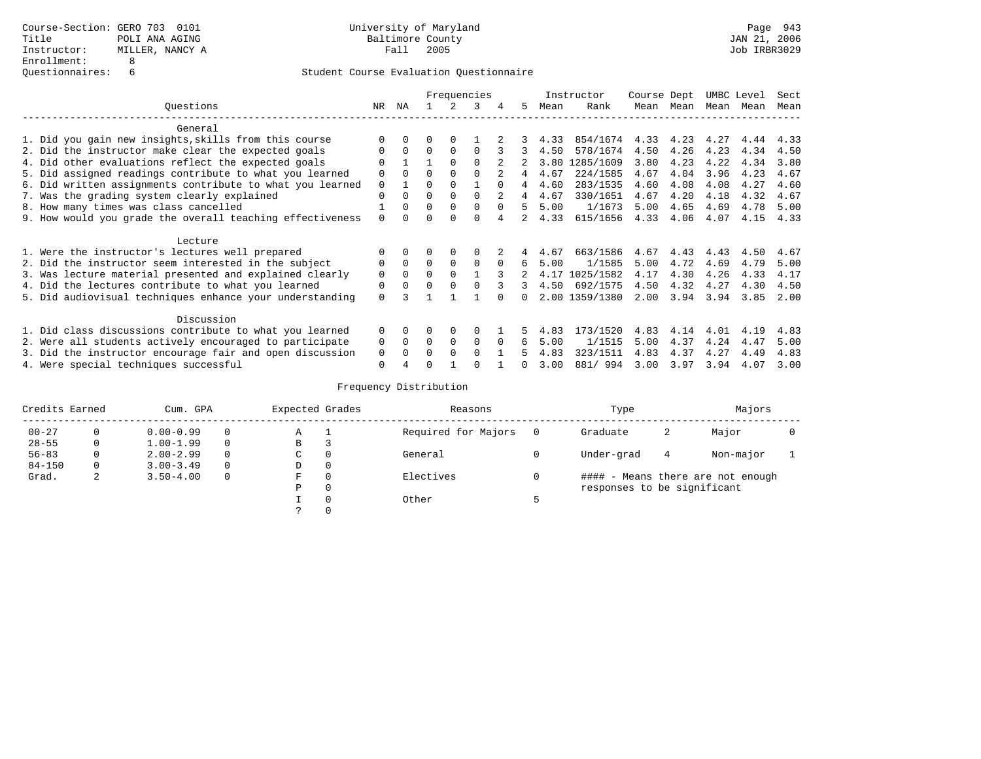# Questionnaires: 6 Student Course Evaluation Questionnaire

|                                                           |                                     | Frequencies |              |          |              |          |      |      | Instructor              | Course Dept |      | UMBC Level |      | Sect |
|-----------------------------------------------------------|-------------------------------------|-------------|--------------|----------|--------------|----------|------|------|-------------------------|-------------|------|------------|------|------|
| Ouestions                                                 | ΝA<br>NR<br>Rank<br>3<br>.5<br>Mean |             |              |          | Mean Mean    | Mean     | Mean | Mean |                         |             |      |            |      |      |
| General                                                   |                                     |             |              |          |              |          |      |      |                         |             |      |            |      |      |
| 1. Did you gain new insights, skills from this course     |                                     |             |              |          |              |          |      | 4.33 | 854/1674 4.33 4.23 4.27 |             |      |            | 4.44 | 4.33 |
| 2. Did the instructor make clear the expected goals       | $\Omega$                            | $\Omega$    | $\Omega$     | $\Omega$ | $\Omega$     |          |      | 4.50 | 578/1674                | 4.50        | 4.26 | 4.23       | 4.34 | 4.50 |
| 4. Did other evaluations reflect the expected goals       |                                     |             |              |          |              |          |      |      | 3.80 1285/1609          | 3.80        | 4.23 | 4.22       | 4.34 | 3.80 |
| 5. Did assigned readings contribute to what you learned   | $\Omega$                            |             |              |          |              |          |      | 4.67 | 224/1585                | 4.67        | 4.04 | 3.96       | 4.23 | 4.67 |
| 6. Did written assignments contribute to what you learned | $\Omega$                            |             |              |          |              | $\cap$   | 4    | 4.60 | 283/1535                | 4.60        | 4.08 | 4.08       | 4.27 | 4.60 |
| 7. Was the grading system clearly explained               | $\Omega$                            |             | $\Omega$     |          |              |          |      | 4.67 | 330/1651                | 4.67        | 4.20 | 4.18       | 4.32 | 4.67 |
| 8. How many times was class cancelled                     |                                     | $\Omega$    | $\Omega$     |          |              |          | Б.   | 5.00 | 1/1673                  | 5.00        | 4.65 | 4.69       | 4.78 | 5.00 |
| 9. How would you grade the overall teaching effectiveness |                                     |             |              |          |              |          |      | 4.33 | 615/1656                | 4.33        | 4.06 | 4.07       | 4.15 | 4.33 |
| Lecture                                                   |                                     |             |              |          |              |          |      |      |                         |             |      |            |      |      |
| 1. Were the instructor's lectures well prepared           |                                     |             |              |          |              |          | 4    | 4.67 | 663/1586                | 4.67        | 4.43 | 4.43       | 4.50 | 4.67 |
| 2. Did the instructor seem interested in the subject      |                                     | $\Omega$    | $\Omega$     | $\Omega$ | $\Omega$     |          | 6    | 5.00 | 1/1585                  | 5.00        | 4.72 | 4.69       | 4.79 | 5.00 |
| 3. Was lecture material presented and explained clearly   | $\Omega$                            | $\Omega$    | $\Omega$     | $\cap$   |              |          |      |      | 4.17 1025/1582          | 4.17        | 4.30 | 4.26       | 4.33 | 4.17 |
| 4. Did the lectures contribute to what you learned        | $\Omega$                            | $\Omega$    | $\Omega$     |          |              |          |      | 4.50 | 692/1575                | 4.50        | 4.32 | 4.27       | 4.30 | 4.50 |
| 5. Did audiovisual techniques enhance your understanding  | $\Omega$                            |             |              |          |              |          | n.   |      | 2.00 1359/1380          | 2.00        | 3.94 | 3.94       | 3.85 | 2.00 |
| Discussion                                                |                                     |             |              |          |              |          |      |      |                         |             |      |            |      |      |
| 1. Did class discussions contribute to what you learned   | $\Omega$                            | $\Omega$    | <sup>0</sup> | $\Omega$ |              |          |      | 4.83 | 173/1520                | 4.83        | 4.14 | 4.01       | 4.19 | 4.83 |
| 2. Were all students actively encouraged to participate   | $\Omega$                            | $\Omega$    | $\Omega$     | $\Omega$ | $\Omega$     | $\Omega$ | 6    | 5.00 | 1/1515                  | 5.00        | 4.37 | 4.24       | 4.47 | 5.00 |
| 3. Did the instructor encourage fair and open discussion  | 0                                   |             | $\cap$       | $\Omega$ | <sup>n</sup> |          |      | 4.83 | 323/1511                | 4.83        | 4.37 | 4.27       | 4.49 | 4.83 |
| 4. Were special techniques successful                     | $\Omega$                            |             | ∩            |          |              |          |      | 3.00 | 881/994                 | 3.00        | 3.97 | 3.94       | 4.07 | 3.00 |

# Frequency Distribution

| Credits Earned |             | Cum. GPA      |  |   | Expected Grades | Reasons             |          | Type                              | Majors |           |  |  |  |
|----------------|-------------|---------------|--|---|-----------------|---------------------|----------|-----------------------------------|--------|-----------|--|--|--|
| $00 - 27$      |             | $0.00 - 0.99$ |  | Α |                 | Required for Majors | $\Omega$ | Graduate                          | 2      | Major     |  |  |  |
| $28 - 55$      | 0           | $1.00 - 1.99$ |  | В |                 |                     |          |                                   |        |           |  |  |  |
| $56 - 83$      | 0           | $2.00 - 2.99$ |  | C | 0               | General             |          | Under-grad                        | 4      | Non-major |  |  |  |
| $84 - 150$     | 0           | $3.00 - 3.49$ |  | D | 0               |                     |          |                                   |        |           |  |  |  |
| Grad.          | $\sim$<br>∠ | $3.50 - 4.00$ |  | F | $\Omega$        | Electives           |          | #### - Means there are not enough |        |           |  |  |  |
|                |             |               |  | Ρ | 0               |                     |          | responses to be significant       |        |           |  |  |  |
|                |             |               |  |   | $\Omega$        | Other               |          |                                   |        |           |  |  |  |
|                |             |               |  |   |                 |                     |          |                                   |        |           |  |  |  |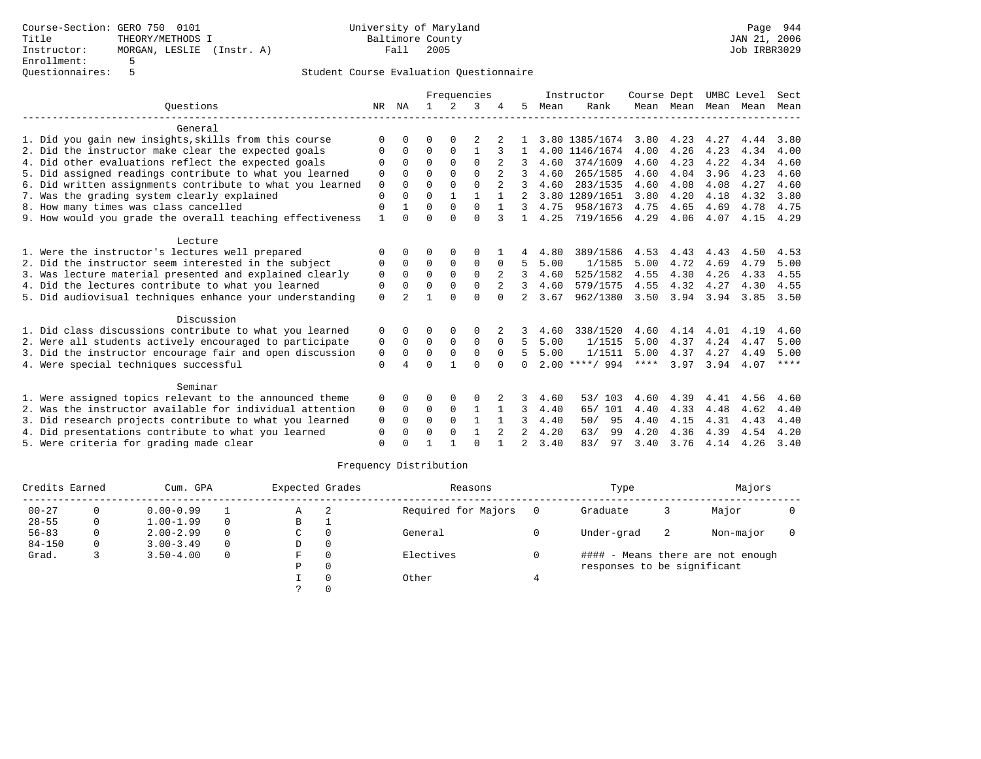Course-Section: GERO 750 0101 University of Maryland Page 944 Title THEORY/METHODS I Baltimore County JAN 21, 2006 Instructor: MORGAN, LESLIE (Instr. A) Enrollment: 5 Questionnaires: 5

## Student Course Evaluation Questionnaire

|                                                           |             | Frequencies  |             |                |              |          |                |      | Instructor       | Course Dept |           | UMBC Level |      | Sect        |
|-----------------------------------------------------------|-------------|--------------|-------------|----------------|--------------|----------|----------------|------|------------------|-------------|-----------|------------|------|-------------|
| Ouestions                                                 |             | NR NA        |             | $\overline{2}$ | 3            |          | 5.             | Mean | Rank             |             | Mean Mean | Mean       | Mean | Mean        |
| General                                                   |             |              |             |                |              |          |                |      |                  |             |           |            |      |             |
| 1. Did you gain new insights, skills from this course     | ∩           | $\Omega$     | 0           | 0              |              |          |                |      | 3.80 1385/1674   | 3.80        | 4.23      | 4.27       | 4.44 | 3.80        |
| 2. Did the instructor make clear the expected goals       | $\Omega$    | $\Omega$     | $\Omega$    | $\Omega$       | $\mathbf{1}$ | 3        | 1              |      | 4.00 1146/1674   | 4.00        | 4.26      | 4.23       | 4.34 | 4.00        |
| 4. Did other evaluations reflect the expected goals       | $\Omega$    | $\Omega$     | $\Omega$    | $\Omega$       | $\Omega$     |          | 3              | 4.60 | 374/1609         | 4.60        | 4.23      | 4.22       | 4.34 | 4.60        |
| 5. Did assigned readings contribute to what you learned   | 0           | <sup>0</sup> | $\Omega$    | $\Omega$       | $\Omega$     |          | 3              | 4.60 | 265/1585         | 4.60        | 4.04      | 3.96       | 4.23 | 4.60        |
| 6. Did written assignments contribute to what you learned | 0           | $\Omega$     | $\Omega$    | $\Omega$       | $\Omega$     | 2        | 3              | 4.60 | 283/1535         | 4.60        | 4.08      | 4.08       | 4.27 | 4.60        |
| 7. Was the grading system clearly explained               | $\Omega$    | $\Omega$     | $\Omega$    | $\mathbf{1}$   | $\mathbf{1}$ |          |                |      | 3.80 1289/1651   | 3.80        | 4.20      | 4.18       | 4.32 | 3.80        |
| 8. How many times was class cancelled                     | $\Omega$    |              | $\Omega$    | $\Omega$       | $\Omega$     |          | 3              | 4.75 | 958/1673         | 4.75        | 4.65      | 4.69       | 4.78 | 4.75        |
| 9. How would you grade the overall teaching effectiveness | 1           | <sup>n</sup> | $\Omega$    | $\cap$         | $\Omega$     | 3        | $\mathbf{1}$   | 4.25 | 719/1656         | 4.29        | 4.06      | 4.07       | 4.15 | 4.29        |
| Lecture                                                   |             |              |             |                |              |          |                |      |                  |             |           |            |      |             |
| 1. Were the instructor's lectures well prepared           | $\Omega$    | 0            | O           | 0              | $\Omega$     |          | 4              | 4.80 | 389/1586         | 4.53        | 4.43      | 4.43       | 4.50 | 4.53        |
| 2. Did the instructor seem interested in the subject      | 0           | $\Omega$     | $\mathbf 0$ | $\mathbf 0$    | $\mathbf 0$  | 0        | .5             | 5.00 | 1/1585           | 5.00        | 4.72      | 4.69       | 4.79 | 5.00        |
| 3. Was lecture material presented and explained clearly   | $\mathbf 0$ | $\Omega$     | $\Omega$    | $\Omega$       | $\Omega$     |          | 3              | 4.60 | 525/1582         | 4.55        | 4.30      | 4.26       | 4.33 | 4.55        |
| 4. Did the lectures contribute to what you learned        | $\Omega$    | $\Omega$     | $\Omega$    | $\Omega$       | $\Omega$     |          | 3              | 4.60 | 579/1575         | 4.55        | 4.32      | 4.27       | 4.30 | 4.55        |
| 5. Did audiovisual techniques enhance your understanding  | $\Omega$    |              |             | $\Omega$       | $\Omega$     | $\Omega$ |                | 3.67 | 962/1380         | 3.50        | 3.94      | 3.94       | 3.85 | 3.50        |
| Discussion                                                |             |              |             |                |              |          |                |      |                  |             |           |            |      |             |
| 1. Did class discussions contribute to what you learned   | 0           | 0            | 0           | 0              | 0            | 2        | 3.             | 4.60 | 338/1520         | 4.60        | 4.14      | 4.01       | 4.19 | 4.60        |
| 2. Were all students actively encouraged to participate   | 0           | $\Omega$     | $\Omega$    | $\Omega$       | $\Omega$     | $\Omega$ | 5.             | 5.00 | 1/1515           | 5.00        | 4.37      | 4.24       | 4.47 | 5.00        |
| 3. Did the instructor encourage fair and open discussion  | 0           | $\Omega$     | $\Omega$    | $\Omega$       | $\Omega$     | $\Omega$ | 5              | 5.00 | 1/1511           | 5.00        | 4.37      | 4.27       | 4.49 | 5.00        |
| 4. Were special techniques successful                     | $\mathbf 0$ |              | $\Omega$    |                | $\Omega$     | $\Omega$ | 0              |      | $2.00$ ****/ 994 | $***$ * * * | 3.97      | 3.94       | 4.07 | $***$ * * * |
| Seminar                                                   |             |              |             |                |              |          |                |      |                  |             |           |            |      |             |
| 1. Were assigned topics relevant to the announced theme   | 0           | 0            | 0           | 0              | 0            |          | 3              | 4.60 | 53/ 103          | 4.60        | 4.39      | 4.41       | 4.56 | 4.60        |
| 2. Was the instructor available for individual attention  | 0           | $\Omega$     | 0           | $\mathbf 0$    | $\mathbf{1}$ |          | 3              | 4.40 | 65/ 101          | 4.40        | 4.33      | 4.48       | 4.62 | 4.40        |
| 3. Did research projects contribute to what you learned   | 0           | 0            | $\Omega$    | $\Omega$       |              |          | 3              | 4.40 | 95<br>50/        | 4.40        | 4.15      | 4.31       | 4.43 | 4.40        |
| 4. Did presentations contribute to what you learned       | $\Omega$    | 0            | $\Omega$    | $\Omega$       | $\mathbf{1}$ |          |                | 4.20 | 63/<br>99        | 4.20        | 4.36      | 4.39       | 4.54 | 4.20        |
| 5. Were criteria for grading made clear                   | $\Omega$    |              |             |                | $\cap$       | 1        | $\mathfrak{D}$ | 3.40 | 83/<br>97        | 3.40        | 3.76      | 4.14       | 4.26 | 3.40        |

# Frequency Distribution

| Credits Earned |          | Cum. GPA      |          |    | Expected Grades | Reasons             |     | Type                        | Majors |                                   |  |
|----------------|----------|---------------|----------|----|-----------------|---------------------|-----|-----------------------------|--------|-----------------------------------|--|
| $00 - 27$      | 0        | $0.00 - 0.99$ |          | Α  | 2               | Required for Majors | - 0 | Graduate                    |        | Major                             |  |
| $28 - 55$      | 0        | $1.00 - 1.99$ | $\Omega$ | в  |                 |                     |     |                             |        |                                   |  |
| $56 - 83$      | 0        | $2.00 - 2.99$ | $\Omega$ | C  | $\Omega$        | General             |     | Under-grad                  | -2     | Non-major                         |  |
| $84 - 150$     | $\Omega$ | $3.00 - 3.49$ | $\Omega$ | D  | 0               |                     |     |                             |        |                                   |  |
| Grad.          |          | $3.50 - 4.00$ | $\Omega$ | F. | $\Omega$        | Electives           |     |                             |        | #### - Means there are not enough |  |
|                |          |               |          | Ρ  | 0               |                     |     | responses to be significant |        |                                   |  |
|                |          |               |          |    |                 | Other               |     |                             |        |                                   |  |
|                |          |               |          |    |                 |                     |     |                             |        |                                   |  |